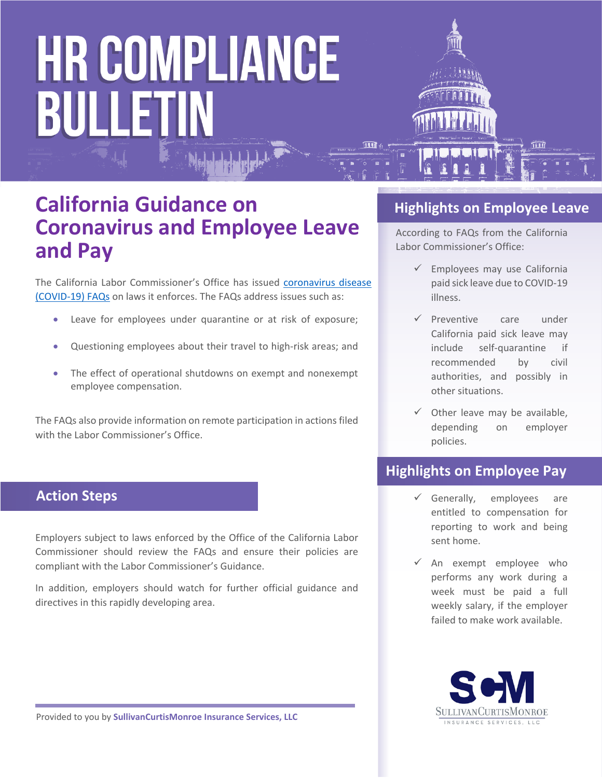# **HR COMPLIANCE** BULLETIN



### **California Guidance on Coronavirus and Employee Leave and Pay**

The California Labor Commissioner's Office has issued [coronavirus disease](https://www.dir.ca.gov/dlse/2019-Novel-Coronavirus.htm)  [\(COVID-19\) FAQs](https://www.dir.ca.gov/dlse/2019-Novel-Coronavirus.htm) on laws it enforces. The FAQs address issues such as:

- Leave for employees under quarantine or at risk of exposure;
- Questioning employees about their travel to high-risk areas; and
- The effect of operational shutdowns on exempt and nonexempt employee compensation.

The FAQs also provide information on remote participation in actions filed with the Labor Commissioner's Office.

#### **Action Steps**

Employers subject to laws enforced by the Office of the California Labor Commissioner should review the FAQs and ensure their policies are compliant with the Labor Commissioner's Guidance.

In addition, employers should watch for further official guidance and directives in this rapidly developing area.

#### **Highlights on Employee Leave**

According to FAQs from the California Labor Commissioner's Office:

- $\checkmark$  Employees may use California paid sick leave due to COVID-19 illness.
- $\checkmark$  Preventive care under California paid sick leave may include self-quarantine if recommended by civil authorities, and possibly in other situations.
- $\checkmark$  Other leave may be available, depending on employer policies.

#### <u>iahliahte an Emplay</u> **Highlights on Employee Pay**

- $\checkmark$  Generally, employees are entitled to compensation for reporting to work and being sent home.
- $\checkmark$  An exempt employee who performs any work during a week must be paid a full weekly salary, if the employer failed to make work available.

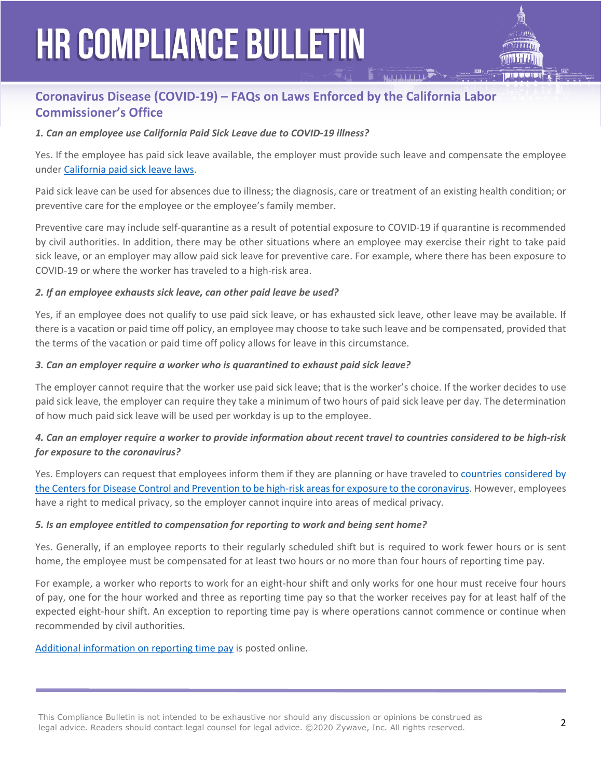## **HR COMPLIANCE BULLETIN**



#### **Coronavirus Disease (COVID-19) – FAQs on Laws Enforced by the California Labor Commissioner's Office**

#### *1. Can an employee use California Paid Sick Leave due to COVID-19 illness?*

Yes. If the employee has paid sick leave available, the employer must provide such leave and compensate the employee under [California paid sick leave laws](https://www.dir.ca.gov/dlse/paid_sick_leave.htm).

Paid sick leave can be used for absences due to illness; the diagnosis, care or treatment of an existing health condition; or preventive care for the employee or the employee's family member.

Preventive care may include self-quarantine as a result of potential exposure to COVID-19 if quarantine is recommended by civil authorities. In addition, there may be other situations where an employee may exercise their right to take paid sick leave, or an employer may allow paid sick leave for preventive care. For example, where there has been exposure to COVID-19 or where the worker has traveled to a high-risk area.

#### *2. If an employee exhausts sick leave, can other paid leave be used?*

Yes, if an employee does not qualify to use paid sick leave, or has exhausted sick leave, other leave may be available. If there is a vacation or paid time off policy, an employee may choose to take such leave and be compensated, provided that the terms of the vacation or paid time off policy allows for leave in this circumstance.

#### *3. Can an employer require a worker who is quarantined to exhaust paid sick leave?*

The employer cannot require that the worker use paid sick leave; that is the worker's choice. If the worker decides to use paid sick leave, the employer can require they take a minimum of two hours of paid sick leave per day. The determination of how much paid sick leave will be used per workday is up to the employee.

#### *4. Can an employer require a worker to provide information about recent travel to countries considered to be high-risk for exposure to the coronavirus?*

Yes. Employers can request that employees inform them if they are planning or have traveled to [countries considered by](https://wwwnc.cdc.gov/travel/notices)  [the Centers for Disease Control and Prevention to be high-risk areas for exposure to the coronavirus](https://wwwnc.cdc.gov/travel/notices). However, employees have a right to medical privacy, so the employer cannot inquire into areas of medical privacy.

#### *5. Is an employee entitled to compensation for reporting to work and being sent home?*

Yes. Generally, if an employee reports to their regularly scheduled shift but is required to work fewer hours or is sent home, the employee must be compensated for at least two hours or no more than four hours of reporting time pay.

For example, a worker who reports to work for an eight-hour shift and only works for one hour must receive four hours of pay, one for the hour worked and three as reporting time pay so that the worker receives pay for at least half of the expected eight-hour shift. An exception to reporting time pay is where operations cannot commence or continue when recommended by civil authorities.

#### [Additional information on reporting time pay](http://www.dir.ca.gov/dlse/FAQ_ReportingTimePay.htm) is posted online.